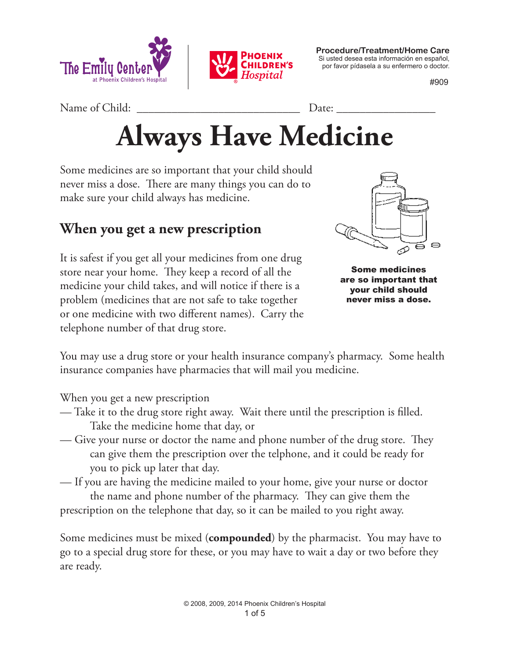



**Procedure/Treatment/Home Care** Si usted desea esta información en español, por favor pídasela a su enfermero o doctor.

#909

Name of Child: \_\_\_\_\_\_\_\_\_\_\_\_\_\_\_\_\_\_\_\_\_\_\_\_\_\_\_\_ Date: \_\_\_\_\_\_\_\_\_\_\_\_\_\_\_\_\_

# **Always Have Medicine**

Some medicines are so important that your child should never miss a dose. There are many things you can do to make sure your child always has medicine.

## **When you get a new prescription**

It is safest if you get all your medicines from one drug store near your home. They keep a record of all the medicine your child takes, and will notice if there is a problem (medicines that are not safe to take together or one medicine with two different names). Carry the telephone number of that drug store.



Some medicines are so important that your child should never miss a dose.

You may use a drug store or your health insurance company's pharmacy. Some health insurance companies have pharmacies that will mail you medicine.

When you get a new prescription

- Take it to the drug store right away. Wait there until the prescription is filled. Take the medicine home that day, or
- Give your nurse or doctor the name and phone number of the drug store. They can give them the prescription over the telphone, and it could be ready for you to pick up later that day.
- If you are having the medicine mailed to your home, give your nurse or doctor the name and phone number of the pharmacy. They can give them the

prescription on the telephone that day, so it can be mailed to you right away.

Some medicines must be mixed (**compounded**) by the pharmacist. You may have to go to a special drug store for these, or you may have to wait a day or two before they are ready.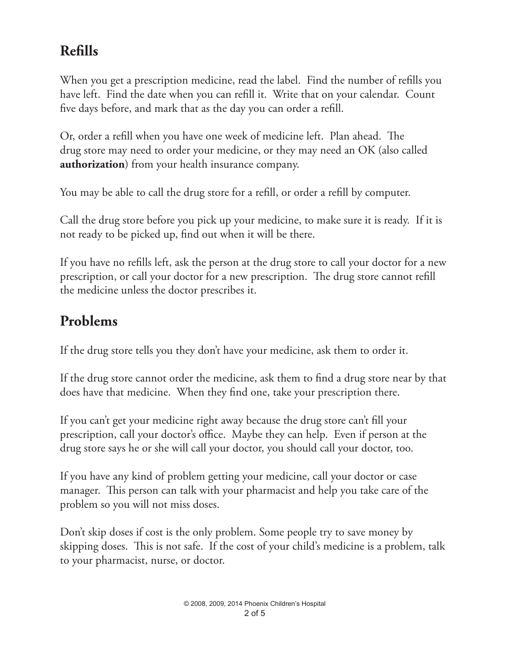# **Refills**

When you get a prescription medicine, read the label. Find the number of refills you have left. Find the date when you can refill it. Write that on your calendar. Count five days before, and mark that as the day you can order a refill.

Or, order a refill when you have one week of medicine left. Plan ahead. The drug store may need to order your medicine, or they may need an OK (also called **authorization**) from your health insurance company.

You may be able to call the drug store for a refill, or order a refill by computer.

Call the drug store before you pick up your medicine, to make sure it is ready. If it is not ready to be picked up, find out when it will be there.

If you have no refills left, ask the person at the drug store to call your doctor for a new prescription, or call your doctor for a new prescription. The drug store cannot refill the medicine unless the doctor prescribes it.

### **Problems**

If the drug store tells you they don't have your medicine, ask them to order it.

If the drug store cannot order the medicine, ask them to find a drug store near by that does have that medicine. When they find one, take your prescription there.

If you can't get your medicine right away because the drug store can't fill your prescription, call your doctor's office. Maybe they can help. Even if person at the drug store says he or she will call your doctor, you should call your doctor, too.

If you have any kind of problem getting your medicine, call your doctor or case manager. This person can talk with your pharmacist and help you take care of the problem so you will not miss doses.

Don't skip doses if cost is the only problem. Some people try to save money by skipping doses. This is not safe. If the cost of your child's medicine is a problem, talk to your pharmacist, nurse, or doctor.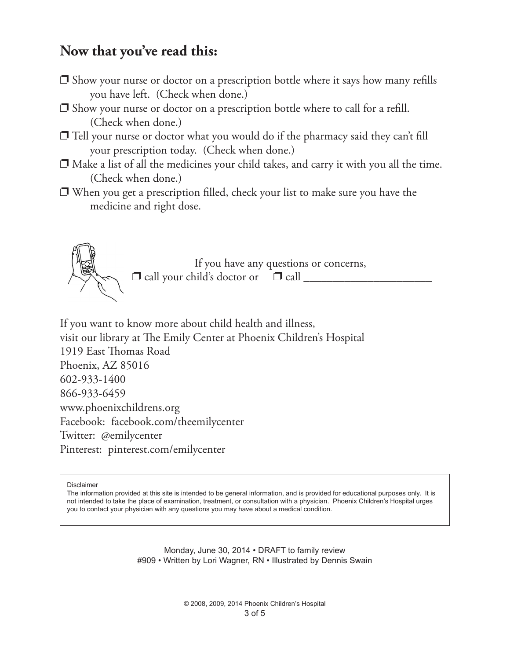#### **Now that you've read this:**

- $\Box$  Show your nurse or doctor on a prescription bottle where it says how many refills you have left. (Check when done.)
- $\Box$  Show your nurse or doctor on a prescription bottle where to call for a refill. (Check when done.)
- $\Box$  Tell your nurse or doctor what you would do if the pharmacy said they can't fill your prescription today. (Check when done.)
- $\Box$  Make a list of all the medicines your child takes, and carry it with you all the time. (Check when done.)
- $\Box$  When you get a prescription filled, check your list to make sure you have the medicine and right dose.



If you have any questions or concerns,  $\Box$  call your child's doctor or  $\Box$  call  $\Box$ 

If you want to know more about child health and illness, visit our library at The Emily Center at Phoenix Children's Hospital 1919 East Thomas Road Phoenix, AZ 85016 602-933-1400 866-933-6459 www.phoenixchildrens.org Facebook: facebook.com/theemilycenter Twitter: @emilycenter Pinterest: pinterest.com/emilycenter

Disclaimer

The information provided at this site is intended to be general information, and is provided for educational purposes only. It is not intended to take the place of examination, treatment, or consultation with a physician. Phoenix Children's Hospital urges you to contact your physician with any questions you may have about a medical condition.

> Monday, June 30, 2014 • DRAFT to family review #909 • Written by Lori Wagner, RN • Illustrated by Dennis Swain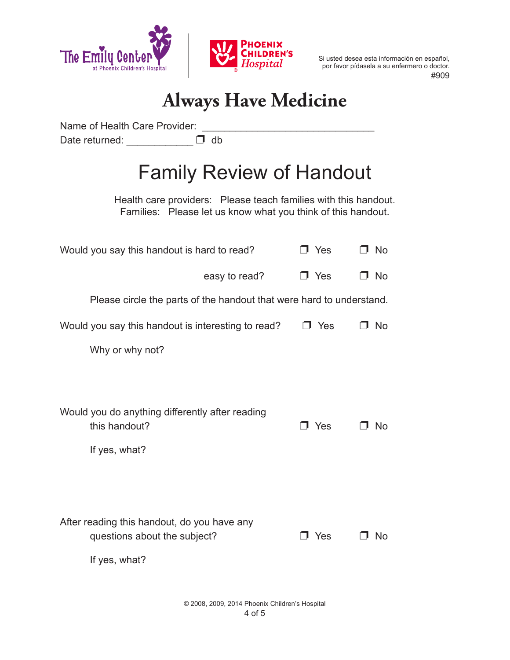

 #909 Si usted desea esta información en español, por favor pídasela a su enfermero o doctor.

# **Always Have Medicine**

Name of Health Care Provider: Date returned: \_\_\_\_\_\_\_\_\_\_\_\_\_\_\_ D db

# Family Review of Handout

Health care providers: Please teach families with this handout. Families: Please let us know what you think of this handout.

| Would you say this handout is hard to read?                                                  | $\Box$ Yes | $\Box$ No |
|----------------------------------------------------------------------------------------------|------------|-----------|
| easy to read?                                                                                | $\Box$ Yes | □ No      |
| Please circle the parts of the handout that were hard to understand.                         |            |           |
| Would you say this handout is interesting to read?                                           | コ Yes      | No        |
| Why or why not?                                                                              |            |           |
|                                                                                              |            |           |
| Would you do anything differently after reading<br>this handout?<br>If yes, what?            | $\Box$ Yes | No.       |
| After reading this handout, do you have any<br>questions about the subject?<br>If yes, what? | J Yes      | No.       |